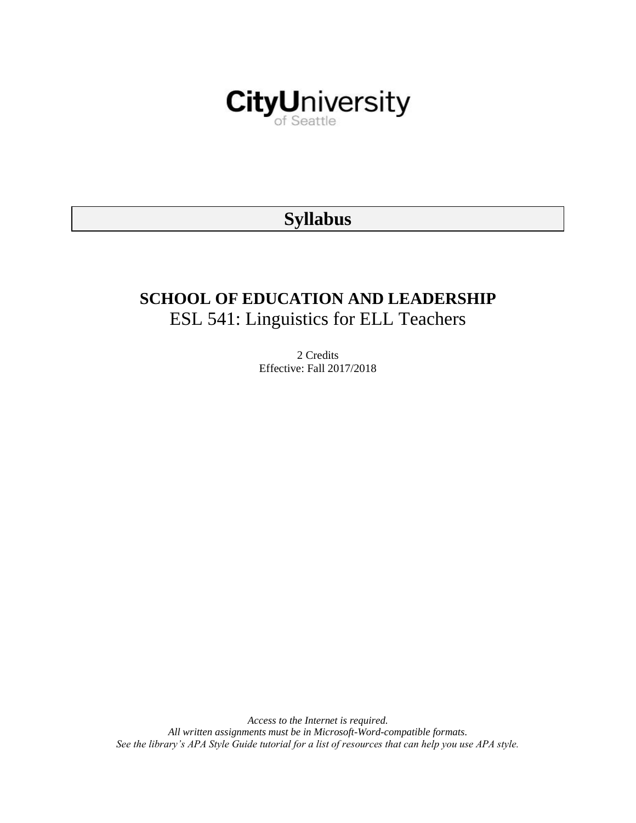

# **Syllabus**

# **SCHOOL OF EDUCATION AND LEADERSHIP** ESL 541: Linguistics for ELL Teachers

2 Credits Effective: Fall 2017/2018

*Access to the Internet is required. All written assignments must be in Microsoft-Word-compatible formats. See the library's APA Style Guide tutorial for a list of resources that can help you use APA style.*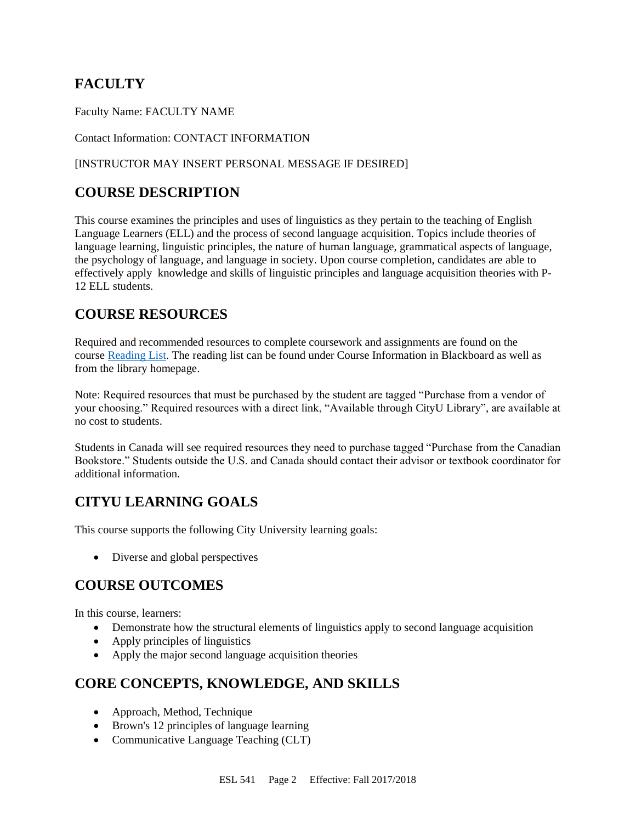# **FACULTY**

Faculty Name: FACULTY NAME

#### Contact Information: CONTACT INFORMATION

#### [INSTRUCTOR MAY INSERT PERSONAL MESSAGE IF DESIRED]

# **COURSE DESCRIPTION**

This course examines the principles and uses of linguistics as they pertain to the teaching of English Language Learners (ELL) and the process of second language acquisition. Topics include theories of language learning, linguistic principles, the nature of human language, grammatical aspects of language, the psychology of language, and language in society. Upon course completion, candidates are able to effectively apply knowledge and skills of linguistic principles and language acquisition theories with P-12 ELL students.

## **COURSE RESOURCES**

Required and recommended resources to complete coursework and assignments are found on the course [Reading List.](https://nam03.safelinks.protection.outlook.com/?url=https%3A%2F%2Fcityu.alma.exlibrisgroup.com%2Fleganto%2Flogin%3Fauth%3DSAML&data=04%7C01%7CMMara%40cityu.edu%7C70673ce0fe0144040eda08d87472e204%7Cb3fa96d9f5154662add763d854e39e63%7C1%7C0%7C637387384066198115%7CUnknown%7CTWFpbGZsb3d8eyJWIjoiMC4wLjAwMDAiLCJQIjoiV2luMzIiLCJBTiI6Ik1haWwiLCJXVCI6Mn0%3D%7C1000&sdata=JbwP%2Fm5Q%2BMgIUWa%2FXceos%2BoiLv0DX%2B%2FL%2BNGNMbX9P8E%3D&reserved=0) The reading list can be found under Course Information in Blackboard as well as from the library homepage.

Note: Required resources that must be purchased by the student are tagged "Purchase from a vendor of your choosing." Required resources with a direct link, "Available through CityU Library", are available at no cost to students.

Students in Canada will see required resources they need to purchase tagged "Purchase from the Canadian Bookstore." Students outside the U.S. and Canada should contact their advisor or textbook coordinator for additional information.

# **CITYU LEARNING GOALS**

This course supports the following City University learning goals:

• Diverse and global perspectives

# **COURSE OUTCOMES**

In this course, learners:

- Demonstrate how the structural elements of linguistics apply to second language acquisition
- Apply principles of linguistics
- Apply the major second language acquisition theories

# **CORE CONCEPTS, KNOWLEDGE, AND SKILLS**

- Approach, Method, Technique
- Brown's 12 principles of language learning
- Communicative Language Teaching (CLT)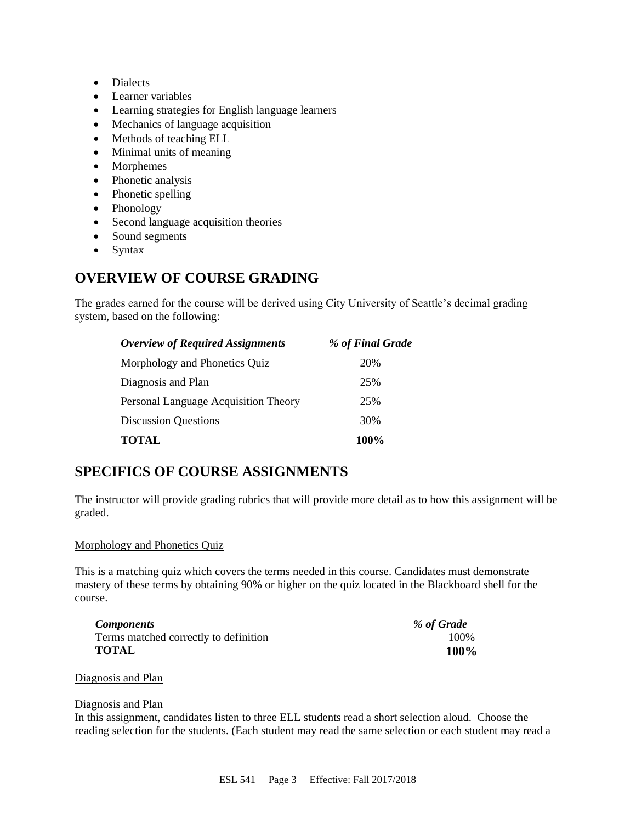- Dialects
- Learner variables
- Learning strategies for English language learners
- Mechanics of language acquisition
- Methods of teaching ELL
- Minimal units of meaning
- Morphemes
- Phonetic analysis
- Phonetic spelling
- Phonology
- Second language acquisition theories
- Sound segments
- Syntax

# **OVERVIEW OF COURSE GRADING**

The grades earned for the course will be derived using City University of Seattle's decimal grading system, based on the following:

| <b>Overview of Required Assignments</b> | % of Final Grade |
|-----------------------------------------|------------------|
| Morphology and Phonetics Quiz           | 20%              |
| Diagnosis and Plan                      | 25%              |
| Personal Language Acquisition Theory    | 25%              |
| <b>Discussion Questions</b>             | 30%              |
| <b>TOTAL</b>                            | 100%             |

## **SPECIFICS OF COURSE ASSIGNMENTS**

The instructor will provide grading rubrics that will provide more detail as to how this assignment will be graded.

#### Morphology and Phonetics Quiz

This is a matching quiz which covers the terms needed in this course. Candidates must demonstrate mastery of these terms by obtaining 90% or higher on the quiz located in the Blackboard shell for the course.

| <b>Components</b>                     | % of Grade |
|---------------------------------------|------------|
| Terms matched correctly to definition | 100%       |
| <b>TOTAL</b>                          | 100%       |

#### Diagnosis and Plan

#### Diagnosis and Plan

In this assignment, candidates listen to three ELL students read a short selection aloud. Choose the reading selection for the students. (Each student may read the same selection or each student may read a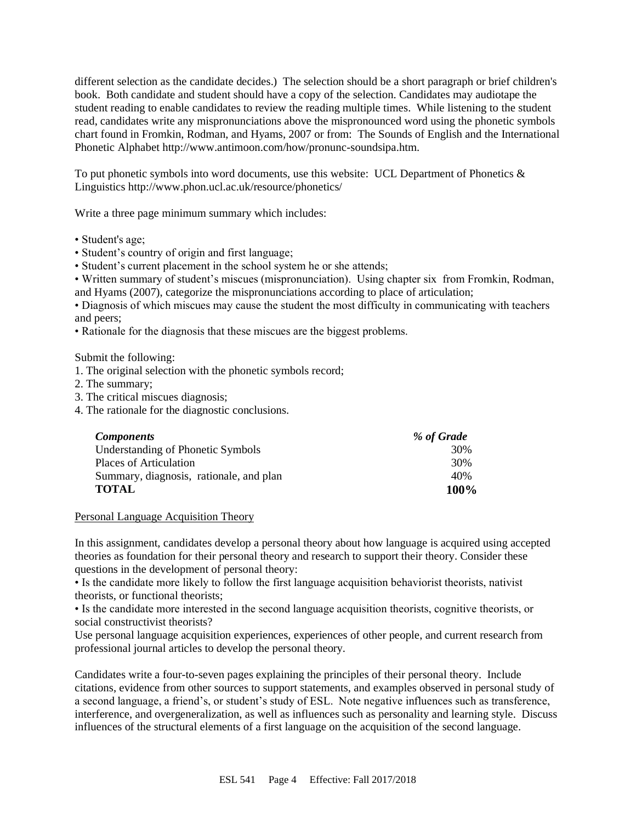different selection as the candidate decides.) The selection should be a short paragraph or brief children's book. Both candidate and student should have a copy of the selection. Candidates may audiotape the student reading to enable candidates to review the reading multiple times. While listening to the student read, candidates write any mispronunciations above the mispronounced word using the phonetic symbols chart found in Fromkin, Rodman, and Hyams, 2007 or from: The Sounds of English and the International Phonetic Alphabet http://www.antimoon.com/how/pronunc-soundsipa.htm.

To put phonetic symbols into word documents, use this website: UCL Department of Phonetics  $\&$ Linguistics http://www.phon.ucl.ac.uk/resource/phonetics/

Write a three page minimum summary which includes:

- Student's age;
- Student's country of origin and first language;
- Student's current placement in the school system he or she attends;

• Written summary of student's miscues (mispronunciation). Using chapter six from Fromkin, Rodman, and Hyams (2007), categorize the mispronunciations according to place of articulation;

• Diagnosis of which miscues may cause the student the most difficulty in communicating with teachers and peers;

• Rationale for the diagnosis that these miscues are the biggest problems.

Submit the following:

- 1. The original selection with the phonetic symbols record;
- 2. The summary;
- 3. The critical miscues diagnosis;
- 4. The rationale for the diagnostic conclusions.

| <b>Components</b>                       | % of Grade |
|-----------------------------------------|------------|
| Understanding of Phonetic Symbols       | 30%        |
| Places of Articulation                  | 30%        |
| Summary, diagnosis, rationale, and plan | 40%        |
| <b>TOTAL</b>                            | 100%       |

Personal Language Acquisition Theory

In this assignment, candidates develop a personal theory about how language is acquired using accepted theories as foundation for their personal theory and research to support their theory. Consider these questions in the development of personal theory:

• Is the candidate more likely to follow the first language acquisition behaviorist theorists, nativist theorists, or functional theorists;

• Is the candidate more interested in the second language acquisition theorists, cognitive theorists, or social constructivist theorists?

Use personal language acquisition experiences, experiences of other people, and current research from professional journal articles to develop the personal theory.

Candidates write a four-to-seven pages explaining the principles of their personal theory. Include citations, evidence from other sources to support statements, and examples observed in personal study of a second language, a friend's, or student's study of ESL. Note negative influences such as transference, interference, and overgeneralization, as well as influences such as personality and learning style. Discuss influences of the structural elements of a first language on the acquisition of the second language.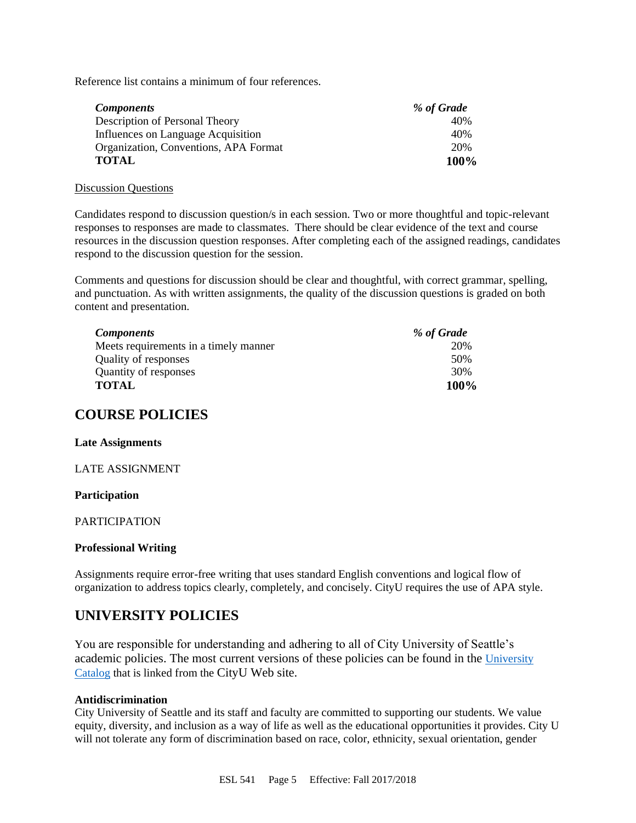Reference list contains a minimum of four references.

| <b>Components</b>                     | % of Grade |
|---------------------------------------|------------|
| Description of Personal Theory        | 40%        |
| Influences on Language Acquisition    | 40%        |
| Organization, Conventions, APA Format | 20%        |
| <b>TOTAL</b>                          | 100%       |

#### Discussion Questions

Candidates respond to discussion question/s in each session. Two or more thoughtful and topic-relevant responses to responses are made to classmates. There should be clear evidence of the text and course resources in the discussion question responses. After completing each of the assigned readings, candidates respond to the discussion question for the session.

Comments and questions for discussion should be clear and thoughtful, with correct grammar, spelling, and punctuation. As with written assignments, the quality of the discussion questions is graded on both content and presentation.

| <i>Components</i>                     | % of Grade |
|---------------------------------------|------------|
| Meets requirements in a timely manner | 20%        |
| Quality of responses                  | 50%        |
| Quantity of responses                 | 30%        |
| <b>TOTAL</b>                          | 100%       |

### **COURSE POLICIES**

#### **Late Assignments**

#### LATE ASSIGNMENT

#### **Participation**

#### PARTICIPATION

#### **Professional Writing**

Assignments require error-free writing that uses standard English conventions and logical flow of organization to address topics clearly, completely, and concisely. CityU requires the use of APA style.

## **UNIVERSITY POLICIES**

You are responsible for understanding and adhering to all of City University of Seattle's academic policies. The most current versions of these policies can be found in the [University](https://www.cityu.edu/catalog/)  [Catalog](https://www.cityu.edu/catalog/) that is linked from the CityU Web site.

#### **Antidiscrimination**

City University of Seattle and its staff and faculty are committed to supporting our students. We value equity, diversity, and inclusion as a way of life as well as the educational opportunities it provides. City U will not tolerate any form of discrimination based on race, color, ethnicity, sexual orientation, gender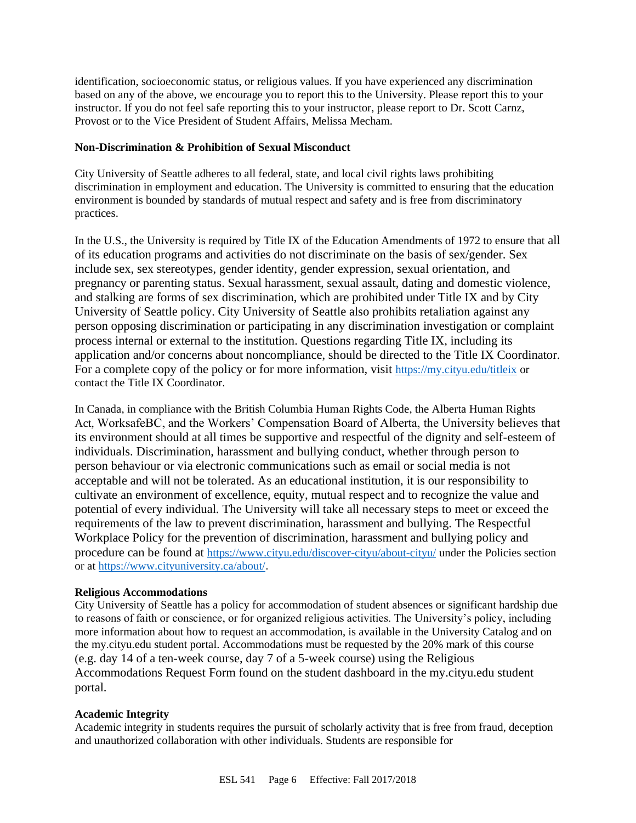identification, socioeconomic status, or religious values. If you have experienced any discrimination based on any of the above, we encourage you to report this to the University. Please report this to your instructor. If you do not feel safe reporting this to your instructor, please report to Dr. Scott Carnz, Provost or to the Vice President of Student Affairs, Melissa Mecham.

#### **Non-Discrimination & Prohibition of Sexual Misconduct**

City University of Seattle adheres to all federal, state, and local civil rights laws prohibiting discrimination in employment and education. The University is committed to ensuring that the education environment is bounded by standards of mutual respect and safety and is free from discriminatory practices.

In the U.S., the University is required by Title IX of the Education Amendments of 1972 to ensure that all of its education programs and activities do not discriminate on the basis of sex/gender. Sex include sex, sex stereotypes, gender identity, gender expression, sexual orientation, and pregnancy or parenting status. Sexual harassment, sexual assault, dating and domestic violence, and stalking are forms of sex discrimination, which are prohibited under Title IX and by City University of Seattle policy. City University of Seattle also prohibits retaliation against any person opposing discrimination or participating in any discrimination investigation or complaint process internal or external to the institution. Questions regarding Title IX, including its application and/or concerns about noncompliance, should be directed to the Title IX Coordinator. For a complete copy of the policy or for more information, visit <https://my.cityu.edu/titleix> or contact the Title IX Coordinator.

In Canada, in compliance with the British Columbia Human Rights Code, the Alberta Human Rights Act, WorksafeBC, and the Workers' Compensation Board of Alberta, the University believes that its environment should at all times be supportive and respectful of the dignity and self-esteem of individuals. Discrimination, harassment and bullying conduct, whether through person to person behaviour or via electronic communications such as email or social media is not acceptable and will not be tolerated. As an educational institution, it is our responsibility to cultivate an environment of excellence, equity, mutual respect and to recognize the value and potential of every individual. The University will take all necessary steps to meet or exceed the requirements of the law to prevent discrimination, harassment and bullying. The Respectful Workplace Policy for the prevention of discrimination, harassment and bullying policy and procedure can be found at <https://www.cityu.edu/discover-cityu/about-cityu/> under the Policies section or at <https://www.cityuniversity.ca/about/>.

#### **Religious Accommodations**

City University of Seattle has a policy for accommodation of student absences or significant hardship due to reasons of faith or conscience, or for organized religious activities. The University's policy, including more information about how to request an accommodation, is available in the University Catalog and on the my.cityu.edu student portal. Accommodations must be requested by the 20% mark of this course (e.g. day 14 of a ten-week course, day 7 of a 5-week course) using the Religious Accommodations Request Form found on the student dashboard in the my.cityu.edu student portal.

#### **Academic Integrity**

Academic integrity in students requires the pursuit of scholarly activity that is free from fraud, deception and unauthorized collaboration with other individuals. Students are responsible for